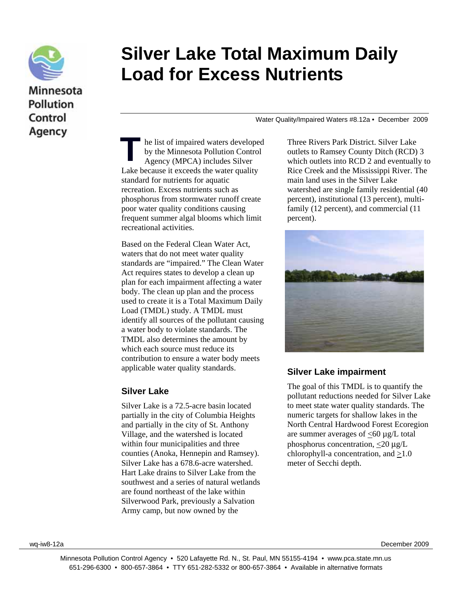

Agency

# **Silver Lake Total Maximum Daily Load for Excess Nutrients**

Water Quality/Impaired Waters #8.12a • December 2009

he list of impaired waters developed by the Minnesota Pollution Control Agency (MPCA) includes Silver Lake because it exceeds the water quality standard for nutrients for aquatic recreation. Excess nutrients such as phosphorus from stormwater runoff create poor water quality conditions causing frequent summer algal blooms which limit recreational activities. T

Based on the Federal Clean Water Act, waters that do not meet water quality standards are "impaired." The Clean Water Act requires states to develop a clean up plan for each impairment affecting a water body. The clean up plan and the process used to create it is a Total Maximum Daily Load (TMDL) study. A TMDL must identify all sources of the pollutant causing a water body to violate standards. The TMDL also determines the amount by which each source must reduce its contribution to ensure a water body meets applicable water quality standards.

#### **Silver Lake**

Silver Lake is a 72.5-acre basin located partially in the city of Columbia Heights and partially in the city of St. Anthony Village, and the watershed is located within four municipalities and three counties (Anoka, Hennepin and Ramsey). Silver Lake has a 678.6-acre watershed. Hart Lake drains to Silver Lake from the southwest and a series of natural wetlands are found northeast of the lake within Silverwood Park, previously a Salvation Army camp, but now owned by the

Three Rivers Park District. Silver Lake outlets to Ramsey County Ditch (RCD) 3 which outlets into RCD 2 and eventually to Rice Creek and the Mississippi River. The main land uses in the Silver Lake watershed are single family residential (40 percent), institutional (13 percent), multifamily (12 percent), and commercial (11 percent).



#### **Silver Lake impairment**

The goal of this TMDL is to quantify the pollutant reductions needed for Silver Lake to meet state water quality standards. The numeric targets for shallow lakes in the North Central Hardwood Forest Ecoregion are summer averages of  $\langle 60 \mu g/L \rangle$  total phosphorus concentration, <20 μg/L chlorophyll-a concentration, and >1.0 meter of Secchi depth.

wq-iw8-12a December 2009